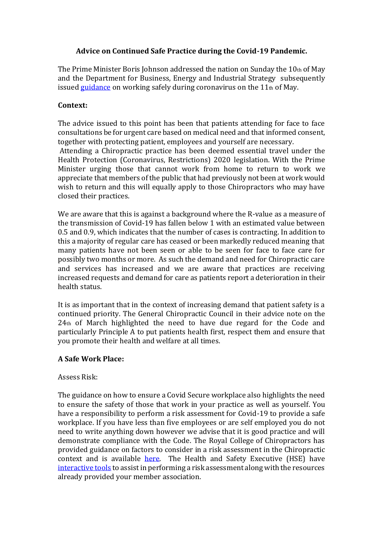## **Advice on Continued Safe Practice during the Covid-19 Pandemic.**

The Prime Minister Boris Johnson addressed the nation on Sunday the  $10<sub>th</sub>$  of May and the Department for Business, Energy and Industrial Strategy subsequently issued [guidance](https://www.gov.uk/guidance/working-safely-during-coronavirus-covid-19/offices-and-contact-centres) on working safely during coronavirus on the 11<sup>th</sup> of May.

## **Context:**

The advice issued to this point has been that patients attending for face to face consultations be for urgent care based on medical need and that informed consent, together with protecting patient, employees and yourself are necessary.

Attending a Chiropractic practice has been deemed essential travel under the Health Protection (Coronavirus, Restrictions) 2020 legislation. With the Prime Minister urging those that cannot work from home to return to work we appreciate that members of the public that had previously not been at work would wish to return and this will equally apply to those Chiropractors who may have closed their practices.

We are aware that this is against a background where the R-value as a measure of the transmission of Covid-19 has fallen below 1 with an estimated value between 0.5 and 0.9, which indicates that the number of cases is contracting. In addition to this a majority of regular care has ceased or been markedly reduced meaning that many patients have not been seen or able to be seen for face to face care for possibly two months or more. As such the demand and need for Chiropractic care and services has increased and we are aware that practices are receiving increased requests and demand for care as patients report a deterioration in their health status.

It is as important that in the context of increasing demand that patient safety is a continued priority. The General Chiropractic Council in their advice note on the 24th of March highlighted the need to have due regard for the Code and particularly Principle A to put patients health first, respect them and ensure that you promote their health and welfare at all times.

## **A Safe Work Place:**

## Assess Risk:

The guidance on how to ensure a Covid Secure workplace also highlights the need to ensure the safety of those that work in your practice as well as yourself. You have a responsibility to perform a risk assessment for Covid-19 to provide a safe workplace. If you have less than five employees or are self employed you do not need to write anything down however we advise that it is good practice and will demonstrate compliance with the Code. The Royal College of Chiropractors has provided guidance on factors to consider in a risk assessment in the Chiropractic context and is available [here.](https://rcc-uk.org/wp-content/uploads/2020/05/Planning-for-the-provision-of-Safe-Chiropractic-Care-During-the-Covid_19-Pandemic__.pdf) The Health and Safety Executive (HSE) have [interactive tools](https://www.hse.gov.uk/simple-health-safety/risk/index.htm) to assist in performing a risk assessment along with the resources already provided your member association.